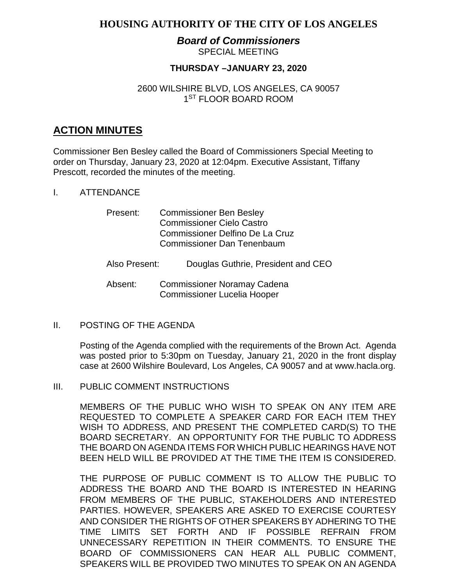## **HOUSING AUTHORITY OF THE CITY OF LOS ANGELES**

#### *Board of Commissioners* SPECIAL MEETING

## **THURSDAY –JANUARY 23, 2020**

## 2600 WILSHIRE BLVD, LOS ANGELES, CA 90057 1<sup>ST</sup> FLOOR BOARD ROOM

# **ACTION MINUTES**

Commissioner Ben Besley called the Board of Commissioners Special Meeting to order on Thursday, January 23, 2020 at 12:04pm. Executive Assistant, Tiffany Prescott, recorded the minutes of the meeting.

I. ATTENDANCE

| Present:      | <b>Commissioner Ben Besley</b>     |
|---------------|------------------------------------|
|               | <b>Commissioner Cielo Castro</b>   |
|               | Commissioner Delfino De La Cruz    |
|               | <b>Commissioner Dan Tenenbaum</b>  |
| Also Present: | Douglas Guthrie, President and CEO |
| ∆heent∙       | Commissioner Noramay Cadena        |

Absent: Commissioner Noramay Cadena Commissioner Lucelia Hooper

#### II. POSTING OF THE AGENDA

Posting of the Agenda complied with the requirements of the Brown Act. Agenda was posted prior to 5:30pm on Tuesday, January 21, 2020 in the front display case at 2600 Wilshire Boulevard, Los Angeles, CA 90057 and at [www.hacla.org.](http://www.hacla.org/)

III. PUBLIC COMMENT INSTRUCTIONS

MEMBERS OF THE PUBLIC WHO WISH TO SPEAK ON ANY ITEM ARE REQUESTED TO COMPLETE A SPEAKER CARD FOR EACH ITEM THEY WISH TO ADDRESS, AND PRESENT THE COMPLETED CARD(S) TO THE BOARD SECRETARY. AN OPPORTUNITY FOR THE PUBLIC TO ADDRESS THE BOARD ON AGENDA ITEMS FOR WHICH PUBLIC HEARINGS HAVE NOT BEEN HELD WILL BE PROVIDED AT THE TIME THE ITEM IS CONSIDERED.

THE PURPOSE OF PUBLIC COMMENT IS TO ALLOW THE PUBLIC TO ADDRESS THE BOARD AND THE BOARD IS INTERESTED IN HEARING FROM MEMBERS OF THE PUBLIC, STAKEHOLDERS AND INTERESTED PARTIES. HOWEVER, SPEAKERS ARE ASKED TO EXERCISE COURTESY AND CONSIDER THE RIGHTS OF OTHER SPEAKERS BY ADHERING TO THE TIME LIMITS SET FORTH AND IF POSSIBLE REFRAIN FROM UNNECESSARY REPETITION IN THEIR COMMENTS. TO ENSURE THE BOARD OF COMMISSIONERS CAN HEAR ALL PUBLIC COMMENT, SPEAKERS WILL BE PROVIDED TWO MINUTES TO SPEAK ON AN AGENDA